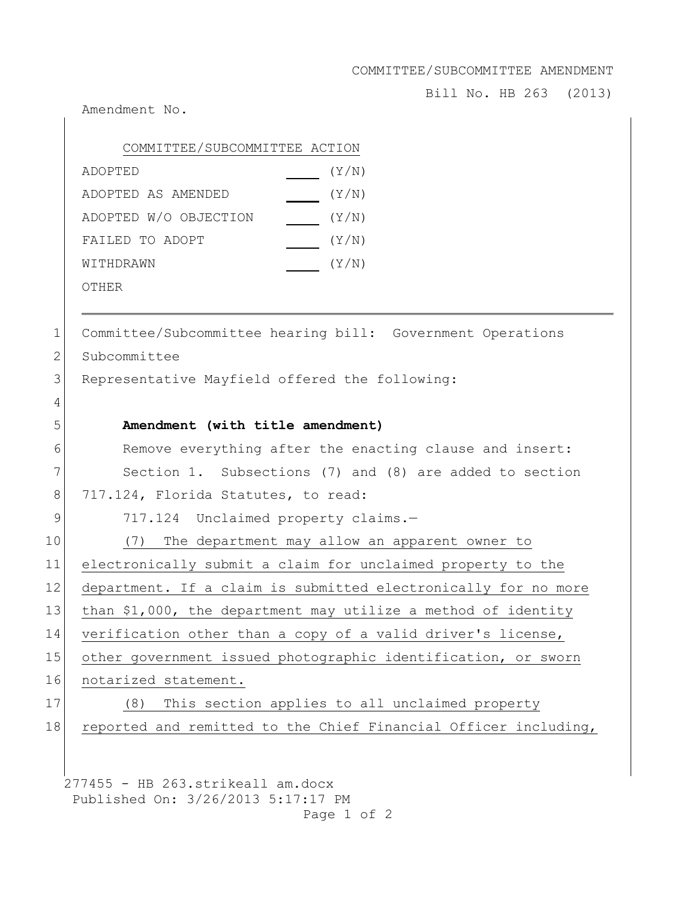COMMITTEE/SUBCOMMITTEE AMENDMENT

Bill No. HB 263 (2013)

Amendment No.

| COMMITTEE/SUBCOMMITTEE ACTION |       |
|-------------------------------|-------|
| ADOPTED                       | (Y/N) |
| ADOPTED AS AMENDED            | (Y/N) |
| ADOPTED W/O OBJECTION         | (Y/N) |
| FAILED TO ADOPT               | (Y/N) |
| WITHDRAWN                     | (Y/N) |
| OTHER                         |       |

1 Committee/Subcommittee hearing bill: Government Operations 2 Subcommittee 3 Representative Mayfield offered the following: 4 5 **Amendment (with title amendment)** 6 Remove everything after the enacting clause and insert: 7 Section 1. Subsections (7) and (8) are added to section 8 717.124, Florida Statutes, to read: 9 717.124 Unclaimed property claims.-10 (7) The department may allow an apparent owner to 11 electronically submit a claim for unclaimed property to the 12 department. If a claim is submitted electronically for no more 13 than \$1,000, the department may utilize a method of identity 14 verification other than a copy of a valid driver's license, 15 other government issued photographic identification, or sworn 16 notarized statement. 17 (8) This section applies to all unclaimed property 18 reported and remitted to the Chief Financial Officer including,

277455 - HB 263.strikeall am.docx Published On: 3/26/2013 5:17:17 PM Page 1 of 2